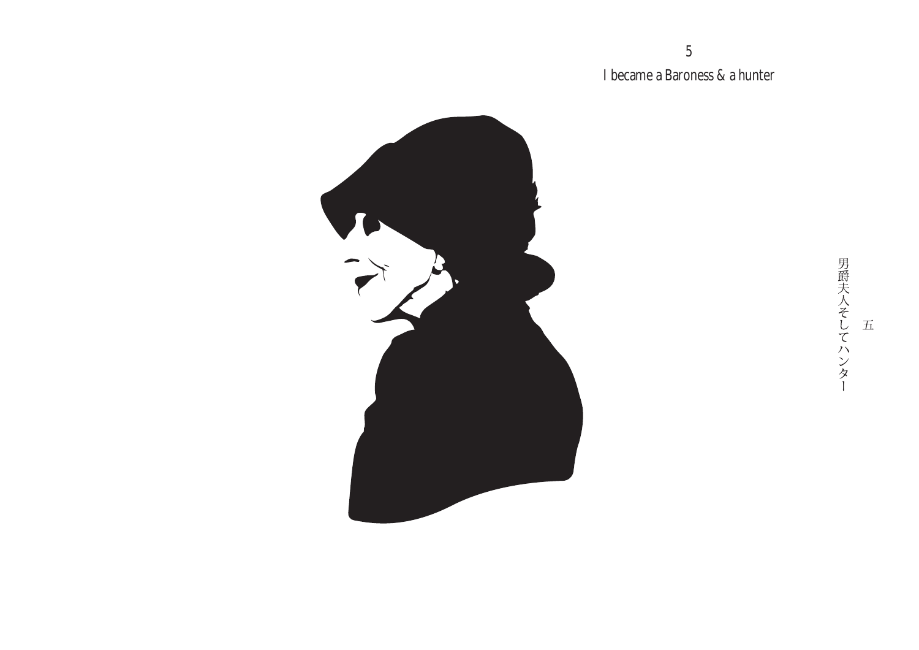I became a Baroness & a hunter

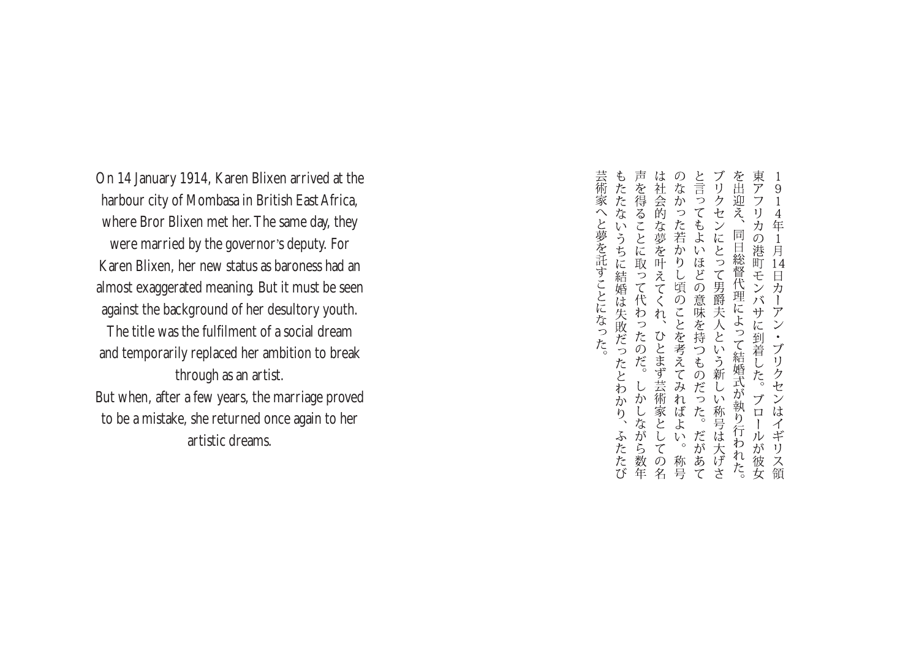On 14 January 1914, Karen Blixen arrived at the harbour city of Mombasa in British EastAfrica, where Bror Blixen met her.The same day, they were married by the governor's deputy. For Karen Blixen, her new status as baroness had an almost exaggerated meaning. But it must be seen against the background of her desultory youth. The title was the fulfilment of a social dream and temporarily replaced her ambition to break through as an artist. But when, after a few years, the marriage proved to be a mistake, she returned once again to her artistic dreams.

もたたないうちに結婚は失敗だったとわかり、ふたたび声を得ることに取って代わったのだ。しかしながら数年は社会的な夢を叶えてくれ、ひとまず芸術家としての名のなかった若かりし頃のことを考えてみればよい。称号 東ア 芸術家へと夢を託すことになった。 ブリ 出迎え 9 クセンにとって男爵夫人という新しい称号は大げさ  $\overline{z}$ リカ  $\overline{4}$ 年 同日総督 の港町モンバサに到着した。  $\overline{1}$ 月  $\overline{14}$  $\Box$ 代理によって結婚式が執り行われた。 方  $\mathbf{I}$  $\overline{y}$ ン・ブリクセ ブロー こンはイ ギリス領 ルが彼女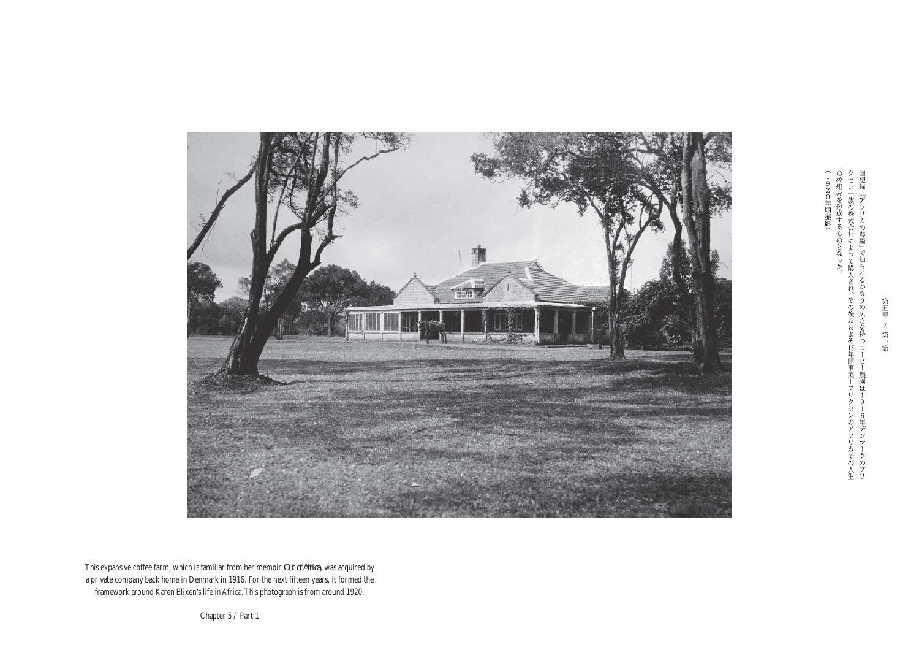

組みを形成するものとなった。 式会社によって購入され、その後おおよそ15年間事実上ブリクセンのアフリカでの人生カの農場」で知られるかなりの広さを持つコーヒー農園は1916年デンマークのブリ

第五章

 $\mathcal{L}$ 第一節

1920年頃撮影)

フ -i)

This expansive coffee farm, which is familiar from her memoir *Out of Africa*, was acquired by a private company back home in Denmark in 1916. For the next fifteen years, it formed the framework around Karen Blixen's life in Africa.This photograph is from around 1920.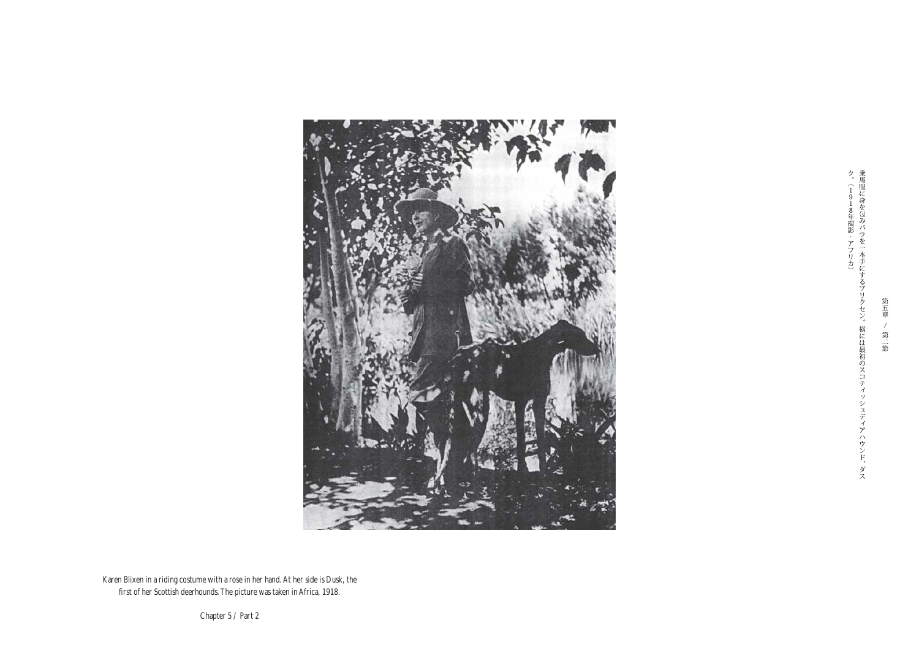

ヶ 乗 í. 服に身を包みバラを一本手 1918年撮影・アフリカ) にするブリクセン。横には最初のスコティッシュディアハウンド、ダス

第五章 / 第二節

Karen Blixen in a riding costume with a rose in her hand.At her side is Dusk, the first of her Scottish deerhounds.The picture was taken in Africa, 1918.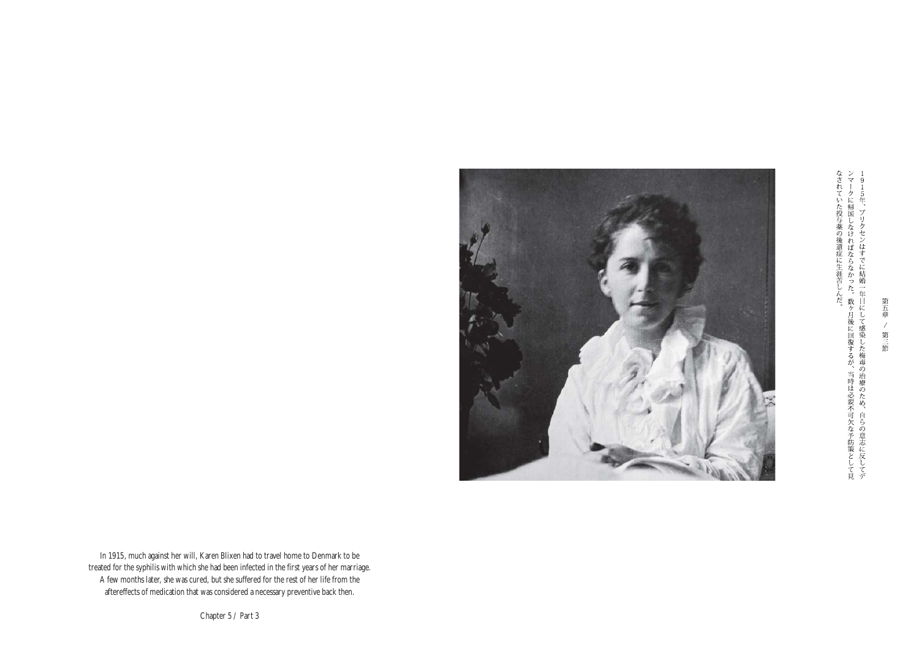なされていた投与薬の後遺症に生涯苦しんだ。<br>ンマークに帰国しなければならなかった。数ヶ月後に回復するが、当時は必要不可欠な予防策として見1915年、ブリクセンはすでに結婚一年日にして感染した梅毒の治療のため、自らの意志に反してデ



In 1915, much against her will, Karen Blixen had to travel home to Denmark to be treated for the syphilis with which she had been infected in the first years of her marriage. A few months later, she was cured, but she suffered for the rest of her life from the aftereffects of medication that was considered a necessary preventive back then.

Chapter 5 / Part 3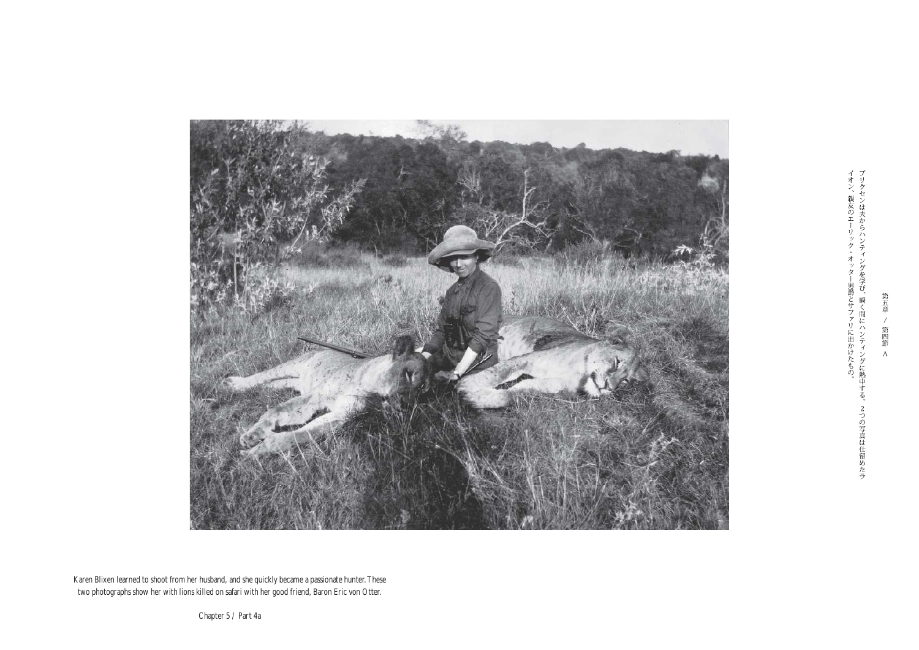

イオ -í1 ン、親友のエーリ 毛 親友のエーリック・オッター男爵とサファリに出かけたもの。<br>スターの写真は仕留めたランは夫からハンティのグレートの熱中する。2つの写真は仕留めたラ

第五章  $\overline{\mathcal{E}}$ - 第四節  $\overline{A}$ 

Karen Blixen learned to shoot from her husband, and she quickly became a passionate hunter.These two photographs show her with lions killed on safari with her good friend, Baron Eric von Otter.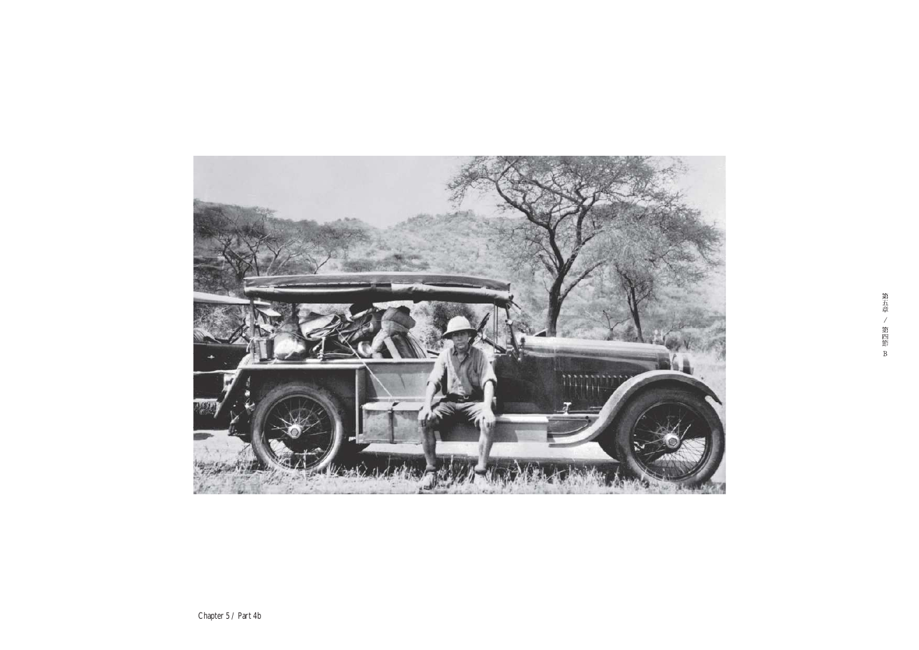